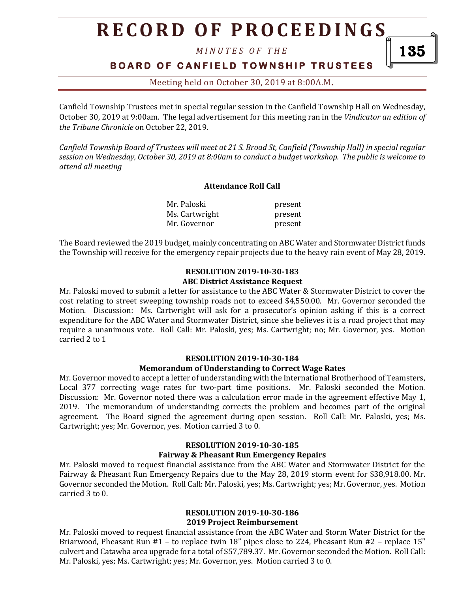## **R E C O R D O F P R O C E E D I N GS**

*M I N U T E S O F T H E* 

### **BOARD OF CANFIELD TOWNSHIP TRUSTEES**

135

Meeting held on October 30, 2019 at 8:00A.M**.**

Canfield Township Trustees met in special regular session in the Canfield Township Hall on Wednesday, October 30, 2019 at 9:00am. The legal advertisement for this meeting ran in the *Vindicator an edition of the Tribune Chronicle* on October 22, 2019.

*Canfield Township Board of Trustees will meet at 21 S. Broad St, Canfield (Township Hall) in special regular session on Wednesday, October 30, 2019 at 8:00am to conduct a budget workshop. The public is welcome to attend all meeting*

#### **Attendance Roll Call**

Mr. Paloski present Ms. Cartwright present Mr. Governor **present** 

The Board reviewed the 2019 budget, mainly concentrating on ABC Water and Stormwater District funds the Township will receive for the emergency repair projects due to the heavy rain event of May 28, 2019.

#### **RESOLUTION 2019-10-30-183 ABC District Assistance Request**

Mr. Paloski moved to submit a letter for assistance to the ABC Water & Stormwater District to cover the cost relating to street sweeping township roads not to exceed \$4,550.00. Mr. Governor seconded the Motion. Discussion: Ms. Cartwright will ask for a prosecutor's opinion asking if this is a correct expenditure for the ABC Water and Stormwater District, since she believes it is a road project that may require a unanimous vote. Roll Call: Mr. Paloski, yes; Ms. Cartwright; no; Mr. Governor, yes. Motion carried 2 to 1

#### **RESOLUTION 2019-10-30-184 Memorandum of Understanding to Correct Wage Rates**

Mr. Governor moved to accept a letter of understanding with the International Brotherhood of Teamsters, Local 377 correcting wage rates for two-part time positions. Mr. Paloski seconded the Motion. Discussion: Mr. Governor noted there was a calculation error made in the agreement effective May 1, 2019. The memorandum of understanding corrects the problem and becomes part of the original agreement. The Board signed the agreement during open session. Roll Call: Mr. Paloski, yes; Ms. Cartwright; yes; Mr. Governor, yes. Motion carried 3 to 0.

#### **RESOLUTION 2019-10-30-185**

#### **Fairway & Pheasant Run Emergency Repairs**

Mr. Paloski moved to request financial assistance from the ABC Water and Stormwater District for the Fairway & Pheasant Run Emergency Repairs due to the May 28, 2019 storm event for \$38,918.00. Mr. Governor seconded the Motion. Roll Call: Mr. Paloski, yes; Ms. Cartwright; yes; Mr. Governor, yes. Motion carried 3 to 0.

#### **RESOLUTION 2019-10-30-186 2019 Project Reimbursement**

Mr. Paloski moved to request financial assistance from the ABC Water and Storm Water District for the Briarwood, Pheasant Run #1 – to replace twin 18" pipes close to 224, Pheasant Run #2 – replace 15" culvert and Catawba area upgrade for a total of \$57,789.37. Mr. Governor seconded the Motion. Roll Call: Mr. Paloski, yes; Ms. Cartwright; yes; Mr. Governor, yes. Motion carried 3 to 0.